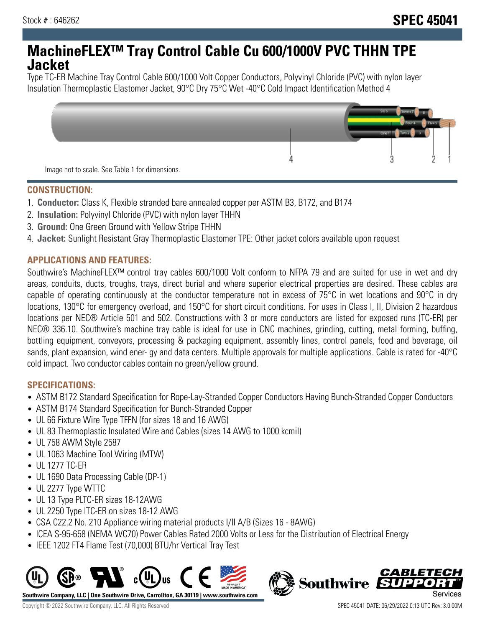## **MachineFLEX™ Tray Control Cable Cu 600/1000V PVC THHN TPE Jacket**

Type TC-ER Machine Tray Control Cable 600/1000 Volt Copper Conductors, Polyvinyl Chloride (PVC) with nylon layer Insulation Thermoplastic Elastomer Jacket, 90°C Dry 75°C Wet -40°C Cold Impact Identification Method 4



#### **CONSTRUCTION:**

- 1. **Conductor:** Class K, Flexible stranded bare annealed copper per ASTM B3, B172, and B174
- 2. **Insulation:** Polyvinyl Chloride (PVC) with nylon layer THHN
- 3. **Ground:** One Green Ground with Yellow Stripe THHN
- 4. **Jacket:** Sunlight Resistant Gray Thermoplastic Elastomer TPE: Other jacket colors available upon request

### **APPLICATIONS AND FEATURES:**

Southwire's MachineFLEX™ control tray cables 600/1000 Volt conform to NFPA 79 and are suited for use in wet and dry areas, conduits, ducts, troughs, trays, direct burial and where superior electrical properties are desired. These cables are capable of operating continuously at the conductor temperature not in excess of 75°C in wet locations and 90°C in dry locations, 130°C for emergency overload, and 150°C for short circuit conditions. For uses in Class I, II, Division 2 hazardous locations per NEC® Article 501 and 502. Constructions with 3 or more conductors are listed for exposed runs (TC-ER) per NEC® 336.10. Southwire's machine tray cable is ideal for use in CNC machines, grinding, cutting, metal forming, buffing, bottling equipment, conveyors, processing & packaging equipment, assembly lines, control panels, food and beverage, oil sands, plant expansion, wind ener- gy and data centers. Multiple approvals for multiple applications. Cable is rated for -40°C cold impact. Two conductor cables contain no green/yellow ground.

### **SPECIFICATIONS:**

- ASTM B172 Standard Specification for Rope-Lay-Stranded Copper Conductors Having Bunch-Stranded Copper Conductors
- ASTM B174 Standard Specification for Bunch-Stranded Copper
- UL 66 Fixture Wire Type TFFN (for sizes 18 and 16 AWG)
- UL 83 Thermoplastic Insulated Wire and Cables (sizes 14 AWG to 1000 kcmil)
- UL 758 AWM Style 2587
- UL 1063 Machine Tool Wiring (MTW)
- UL 1277 TC-ER
- UL 1690 Data Processing Cable (DP-1)
- UL 2277 Type WTTC
- UL 13 Type PLTC-ER sizes 18-12AWG
- UL 2250 Type ITC-ER on sizes 18-12 AWG
- CSA C22.2 No. 210 Appliance wiring material products I/II A/B (Sizes 16 8AWG)
- ICEA S-95-658 (NEMA WC70) Power Cables Rated 2000 Volts or Less for the Distribution of Electrical Energy
- IEEE 1202 FT4 Flame Test (70,000) BTU/hr Vertical Tray Test



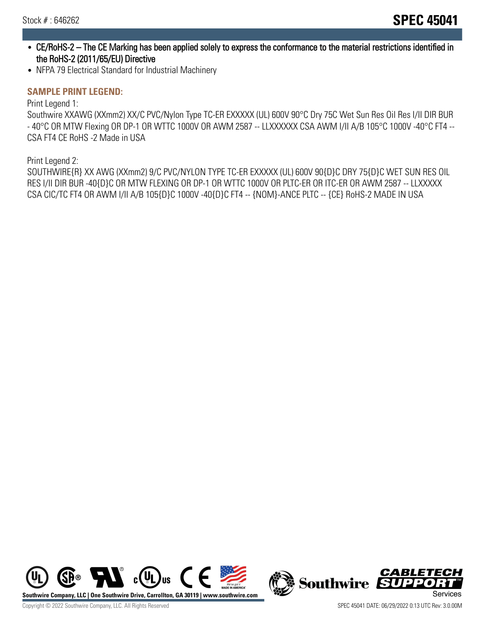- CE/RoHS-2 The CE Marking has been applied solely to express the conformance to the material restrictions identified in the RoHS-2 (2011/65/EU) Directive
- NFPA 79 Electrical Standard for Industrial Machinery

#### **SAMPLE PRINT LEGEND:**

Print Legend 1:

Southwire XXAWG (XXmm2) XX/C PVC/Nylon Type TC-ER EXXXXX (UL) 600V 90°C Dry 75C Wet Sun Res Oil Res I/II DIR BUR - 40°C OR MTW Flexing OR DP-1 OR WTTC 1000V OR AWM 2587 -- LLXXXXXX CSA AWM I/II A/B 105°C 1000V -40°C FT4 -- CSA FT4 CE RoHS -2 Made in USA

Print Legend 2:

SOUTHWIRE{R} XX AWG (XXmm2) 9/C PVC/NYLON TYPE TC-ER EXXXXX (UL) 600V 90{D}C DRY 75{D}C WET SUN RES OIL RES I/II DIR BUR -40{D}C OR MTW FLEXING OR DP-1 OR WTTC 1000V OR PLTC-ER OR ITC-ER OR AWM 2587 -- LLXXXXX CSA CIC/TC FT4 OR AWM I/II A/B 105{D}C 1000V -40{D}C FT4 -- {NOM}-ANCE PLTC -- {CE} RoHS-2 MADE IN USA